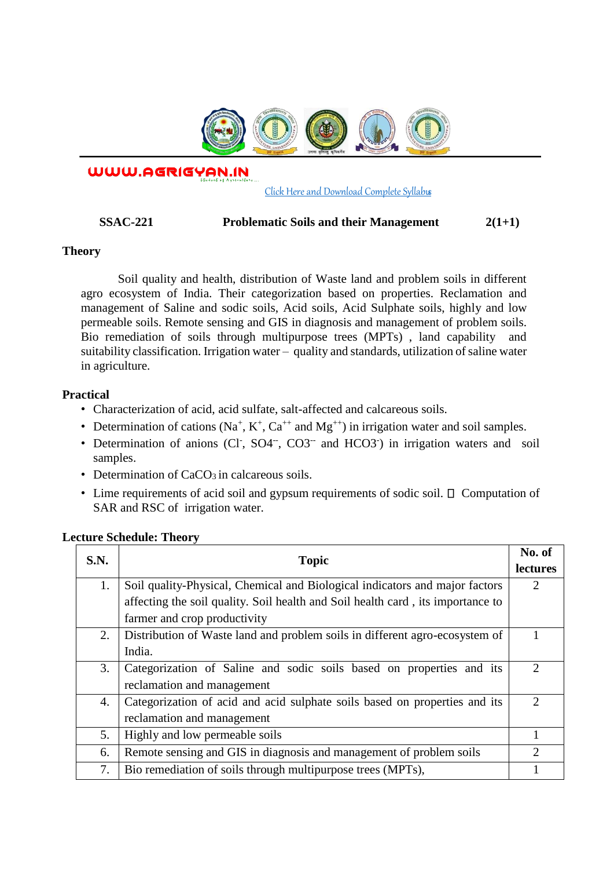

WWW.AGRIGYAN.IN

#### [Click Here and Download Complete Syllabus](http://agrigyan.in/)

#### **SSAC-221 Problematic Soils and their Management 2(1+1)**

### **Theory**

 $\overline{a}$ 

Soil quality and health, distribution of Waste land and problem soils in different agro ecosystem of India. Their categorization based on properties. Reclamation and management of Saline and sodic soils, Acid soils, Acid Sulphate soils, highly and low permeable soils. Remote sensing and GIS in diagnosis and management of problem soils. Bio remediation of soils through multipurpose trees (MPTs) , land capability and suitability classification. Irrigation water – quality and standards, utilization of saline water in agriculture.

### **Practical**

- Characterization of acid, acid sulfate, salt-affected and calcareous soils.
- Determination of cations ( $Na^+$ ,  $K^+$ ,  $Ca^{++}$  and  $Mg^{++}$ ) in irrigation water and soil samples.
- Determination of anions (Cl<sup>-</sup>, SO4<sup>--</sup>, CO3<sup>--</sup> and HCO3<sup>-</sup>) in irrigation waters and soil samples.
- Determination of  $CaCO<sub>3</sub>$  in calcareous soils.
- $\bullet$  Lime requirements of acid soil and gypsum requirements of sodic soil.  $\Box$  Computation of SAR and RSC of irrigation water.

| S.N. | <b>Topic</b>                                                                    | No. of                      |
|------|---------------------------------------------------------------------------------|-----------------------------|
|      |                                                                                 | lectures                    |
| 1.   | Soil quality-Physical, Chemical and Biological indicators and major factors     | $\overline{2}$              |
|      | affecting the soil quality. Soil health and Soil health card, its importance to |                             |
|      | farmer and crop productivity                                                    |                             |
| 2.   | Distribution of Waste land and problem soils in different agro-ecosystem of     |                             |
|      | India.                                                                          |                             |
| 3.   | Categorization of Saline and sodic soils based on properties and its            | $\overline{2}$              |
|      | reclamation and management                                                      |                             |
| 4.   | Categorization of acid and acid sulphate soils based on properties and its      | $\mathcal{D}_{\mathcal{L}}$ |
|      | reclamation and management                                                      |                             |
| 5.   | Highly and low permeable soils                                                  | $\mathbf{1}$                |
| 6.   | Remote sensing and GIS in diagnosis and management of problem soils             | 2                           |
| 7.   | Bio remediation of soils through multipurpose trees (MPTs),                     |                             |

## **Lecture Schedule: Theory**